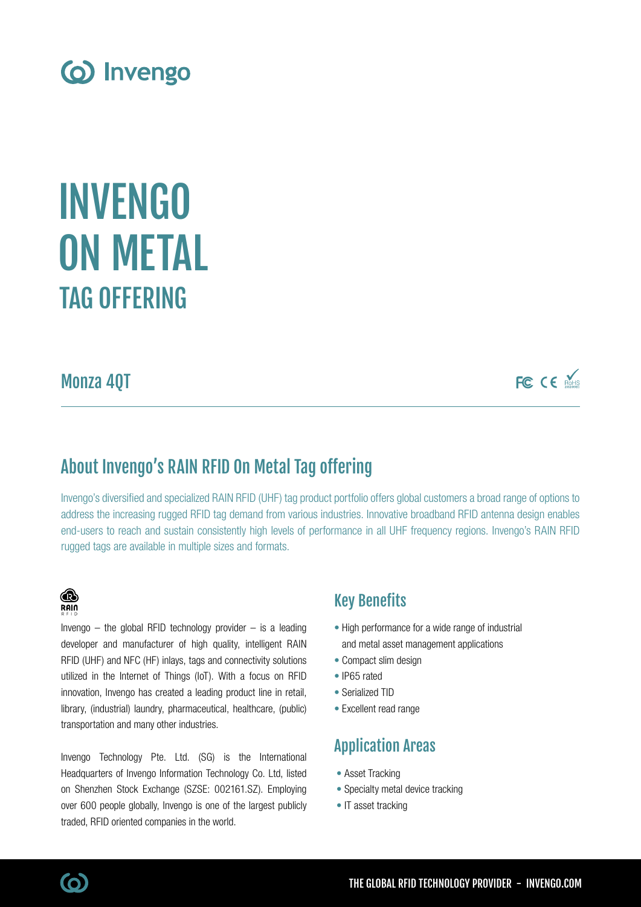

# TAG OFFERING INVENGO ON METAL

## Monza 4QT

FC CE MARIS

## About Invengo's RAIN RFID On Metal Tag offering

Invengo's diversified and specialized RAIN RFID (UHF) tag product portfolio offers global customers a broad range of options to address the increasing rugged RFID tag demand from various industries. Innovative broadband RFID antenna design enables end-users to reach and sustain consistently high levels of performance in all UHF frequency regions. Invengo's RAIN RFID rugged tags are available in multiple sizes and formats.

#### **B RAIN**

Invengo  $-$  the global RFID technology provider  $-$  is a leading developer and manufacturer of high quality, intelligent RAIN RFID (UHF) and NFC (HF) inlays, tags and connectivity solutions utilized in the Internet of Things (IoT). With a focus on RFID innovation, Invengo has created a leading product line in retail, library, (industrial) laundry, pharmaceutical, healthcare, (public) transportation and many other industries.

Invengo Technology Pte. Ltd. (SG) is the International Headquarters of Invengo Information Technology Co. Ltd, listed on Shenzhen Stock Exchange (SZSE: 002161.SZ). Employing over 600 people globally, Invengo is one of the largest publicly traded, RFID oriented companies in the world.

### Key Benefits

- High performance for a wide range of industrial and metal asset management applications
- Compact slim design
- IP65 rated
- Serialized TID
- Excellent read range

## Application Areas

- Asset Tracking
- Specialty metal device tracking
- IT asset tracking